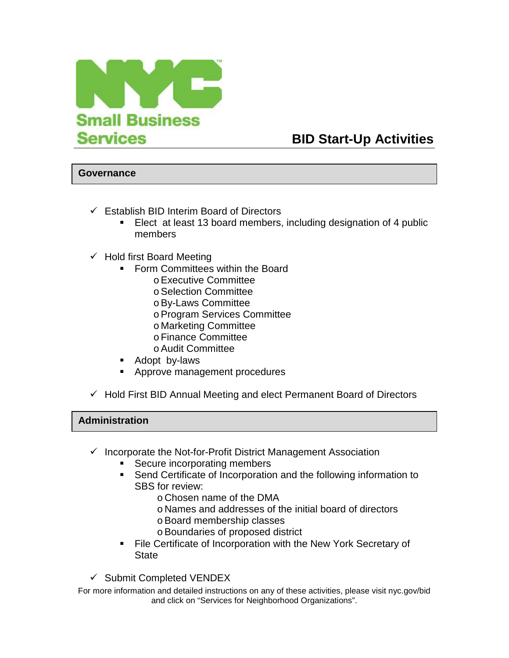

## **BID Start-Up Activities**

## **Governance**

- $\checkmark$  Establish BID Interim Board of Directors
	- - Elect at least 13 board members, including designation of 4 public members
- $\checkmark$  Hold first Board Meeting
	- **Form Committees within the Board** 
		- o Executive Committee
		- o Selection Committee
		- o By-Laws Committee
		- o Program Services Committee
		- o Marketing Committee
		- o Finance Committee
		- o Audit Committee
	- -Adopt by-laws
	- -Approve management procedures
- $\checkmark$  Hold First BID Annual Meeting and elect Permanent Board of Directors

## **Administration**

- $\checkmark$  Incorporate the Not-for-Profit District Management Association
	- -Secure incorporating members
	- - Send Certificate of Incorporation and the following information to SBS for review:
		- o Chosen name of the DMA
		- o Names and addresses of the initial board of directors
		- o Board membership classes
		- o Boundaries of proposed district
	- - File Certificate of Incorporation with the New York Secretary of **State**
- $\checkmark$  Submit Completed VENDEX

For more information and detailed instructions on any of these activities, please visit nyc.gov/bid and click on "Services for Neighborhood Organizations".